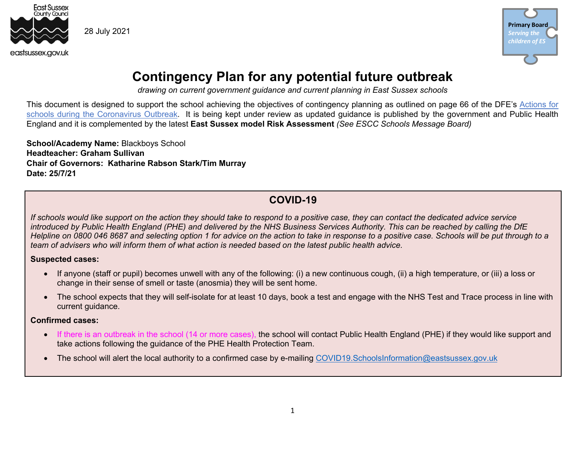

**Primary Board** *Serving the children of ES*

## **Contingency Plan for any potential future outbreak**

*drawing on current government guidance and current planning in East Sussex schools*

This document is designed to support the school achieving the objectives of contingency planning as outlined on page 66 of the DFE's Actions for schools during the Coronavirus Outbreak. It is being kept under review as updated guidance is published by the government and Public Health England and it is complemented by the latest **East Sussex model Risk Assessment** *(See ESCC Schools Message Board)*

**School/Academy Name:** Blackboys School **Headteacher: Graham Sullivan Chair of Governors: Katharine Rabson Stark/Tim Murray Date: 25/7/21**

### **COVID-19**

*If schools would like support on the action they should take to respond to a positive case, they can contact the dedicated advice service introduced by Public Health England (PHE) and delivered by the NHS Business Services Authority. This can be reached by calling the DfE Helpline on 0800 046 8687 and selecting option 1 for advice on the action to take in response to a positive case. Schools will be put through to a team of advisers who will inform them of what action is needed based on the latest public health advice.*

#### **Suspected cases:**

- If anyone (staff or pupil) becomes unwell with any of the following: (i) a new continuous cough, (ii) a high temperature, or (iii) a loss or change in their sense of smell or taste (anosmia) they will be sent home.
- The school expects that they will self-isolate for at least 10 days, book a test and engage with the NHS Test and Trace process in line with current guidance.

#### **Confirmed cases:**

- If there is an outbreak in the school (14 or more cases), the school will contact Public Health England (PHE) if they would like support and take actions following the guidance of the PHE Health Protection Team.
- The school will alert the local authority to a confirmed case by e-mailing COVID19. SchoolsInformation@eastsussex.gov.uk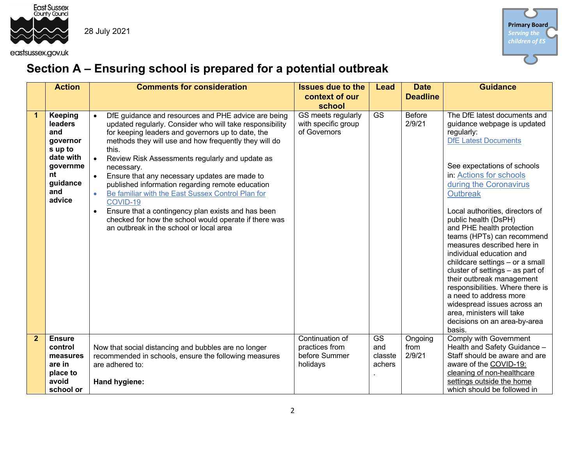



# **Section A – Ensuring school is prepared for a potential outbreak**

|              | <b>Action</b>  | <b>Comments for consideration</b>                                | <b>Issues due to the</b> | Lead                   | <b>Date</b>     | <b>Guidance</b>                                               |
|--------------|----------------|------------------------------------------------------------------|--------------------------|------------------------|-----------------|---------------------------------------------------------------|
|              |                |                                                                  | context of our           |                        | <b>Deadline</b> |                                                               |
|              |                |                                                                  | school                   |                        |                 |                                                               |
| 1            | <b>Keeping</b> | DfE guidance and resources and PHE advice are being<br>$\bullet$ | GS meets regularly       | <b>GS</b>              | <b>Before</b>   | The DfE latest documents and                                  |
|              | leaders        | updated regularly. Consider who will take responsibility         | with specific group      |                        | 2/9/21          | guidance webpage is updated                                   |
|              | and            | for keeping leaders and governors up to date, the                | of Governors             |                        |                 | regularly:                                                    |
|              | governor       | methods they will use and how frequently they will do            |                          |                        |                 | <b>DfE Latest Documents</b>                                   |
|              | s up to        | this.                                                            |                          |                        |                 |                                                               |
|              | date with      | Review Risk Assessments regularly and update as<br>$\bullet$     |                          |                        |                 |                                                               |
|              | governme       | necessary.                                                       |                          |                        |                 | See expectations of schools                                   |
|              | nt             | Ensure that any necessary updates are made to<br>$\bullet$       |                          |                        |                 | in: Actions for schools                                       |
|              | guidance       | published information regarding remote education                 |                          |                        |                 | during the Coronavirus                                        |
|              | and            | Be familiar with the East Sussex Control Plan for<br>$\bullet$   |                          |                        |                 | <b>Outbreak</b>                                               |
|              | advice         | COVID-19                                                         |                          |                        |                 |                                                               |
|              |                | Ensure that a contingency plan exists and has been<br>$\bullet$  |                          |                        |                 | Local authorities, directors of                               |
|              |                | checked for how the school would operate if there was            |                          |                        |                 | public health (DsPH)                                          |
|              |                | an outbreak in the school or local area                          |                          |                        |                 | and PHE health protection                                     |
|              |                |                                                                  |                          |                        |                 | teams (HPTs) can recommend                                    |
|              |                |                                                                  |                          |                        |                 | measures described here in                                    |
|              |                |                                                                  |                          |                        |                 | individual education and                                      |
|              |                |                                                                  |                          |                        |                 | childcare settings - or a small                               |
|              |                |                                                                  |                          |                        |                 | cluster of settings - as part of                              |
|              |                |                                                                  |                          |                        |                 | their outbreak management<br>responsibilities. Where there is |
|              |                |                                                                  |                          |                        |                 | a need to address more                                        |
|              |                |                                                                  |                          |                        |                 | widespread issues across an                                   |
|              |                |                                                                  |                          |                        |                 | area, ministers will take                                     |
|              |                |                                                                  |                          |                        |                 | decisions on an area-by-area                                  |
|              |                |                                                                  |                          |                        |                 | basis.                                                        |
| $\mathbf{2}$ | <b>Ensure</b>  |                                                                  | Continuation of          | $\overline{\text{GS}}$ | Ongoing         | Comply with Government                                        |
|              | control        | Now that social distancing and bubbles are no longer             | practices from           | and                    | from            | Health and Safety Guidance -                                  |
|              | measures       | recommended in schools, ensure the following measures            | before Summer            | classte                | 2/9/21          | Staff should be aware and are                                 |
|              | are in         | are adhered to:                                                  | holidays                 | achers                 |                 | aware of the COVID-19:                                        |
|              | place to       |                                                                  |                          |                        |                 | cleaning of non-healthcare                                    |
|              | avoid          | Hand hygiene:                                                    |                          |                        |                 | settings outside the home                                     |
|              | school or      |                                                                  |                          |                        |                 | which should be followed in                                   |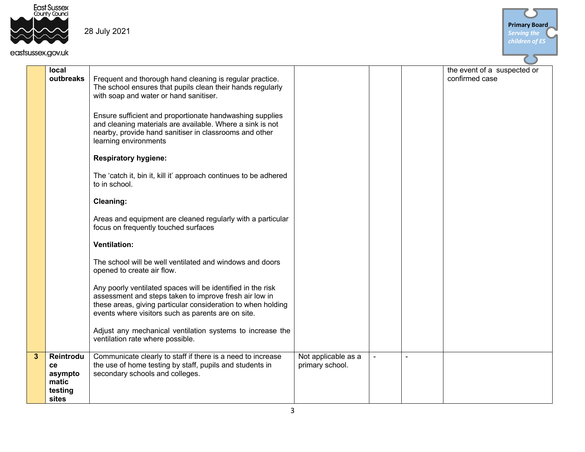



| local<br>outbreaks                                           | Frequent and thorough hand cleaning is regular practice.<br>The school ensures that pupils clean their hands regularly<br>with soap and water or hand sanitiser.<br>Ensure sufficient and proportionate handwashing supplies<br>and cleaning materials are available. Where a sink is not<br>nearby, provide hand sanitiser in classrooms and other<br>learning environments |                                        |                | the event of a suspected or<br>confirmed case |
|--------------------------------------------------------------|------------------------------------------------------------------------------------------------------------------------------------------------------------------------------------------------------------------------------------------------------------------------------------------------------------------------------------------------------------------------------|----------------------------------------|----------------|-----------------------------------------------|
|                                                              | <b>Respiratory hygiene:</b>                                                                                                                                                                                                                                                                                                                                                  |                                        |                |                                               |
|                                                              | The 'catch it, bin it, kill it' approach continues to be adhered<br>to in school.                                                                                                                                                                                                                                                                                            |                                        |                |                                               |
|                                                              | <b>Cleaning:</b>                                                                                                                                                                                                                                                                                                                                                             |                                        |                |                                               |
|                                                              | Areas and equipment are cleaned regularly with a particular<br>focus on frequently touched surfaces                                                                                                                                                                                                                                                                          |                                        |                |                                               |
|                                                              | <b>Ventilation:</b>                                                                                                                                                                                                                                                                                                                                                          |                                        |                |                                               |
|                                                              | The school will be well ventilated and windows and doors<br>opened to create air flow.                                                                                                                                                                                                                                                                                       |                                        |                |                                               |
|                                                              | Any poorly ventilated spaces will be identified in the risk<br>assessment and steps taken to improve fresh air low in<br>these areas, giving particular consideration to when holding<br>events where visitors such as parents are on site.                                                                                                                                  |                                        |                |                                               |
|                                                              | Adjust any mechanical ventilation systems to increase the<br>ventilation rate where possible.                                                                                                                                                                                                                                                                                |                                        |                |                                               |
| 3<br>Reintrodu<br>ce<br>asympto<br>matic<br>testing<br>sites | Communicate clearly to staff if there is a need to increase<br>the use of home testing by staff, pupils and students in<br>secondary schools and colleges.                                                                                                                                                                                                                   | Not applicable as a<br>primary school. | $\blacksquare$ |                                               |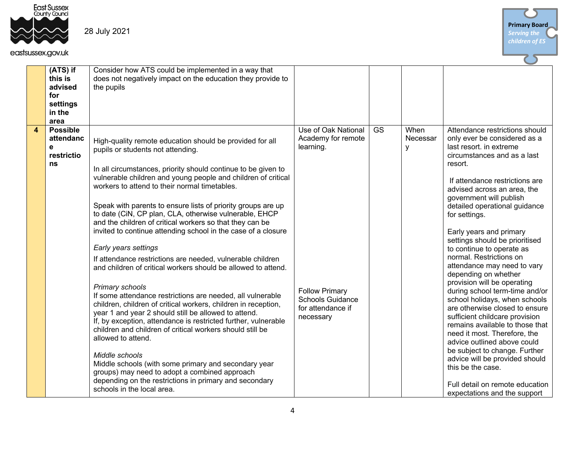



|                        | (ATS) if<br>this is<br>advised<br>for<br>settings<br>in the<br>area | Consider how ATS could be implemented in a way that<br>does not negatively impact on the education they provide to<br>the pupils                                                                                                                                                                                                                                                                                                                                                                                                                                                                                                                                                                                                                                                                                                                                                                                                                                                                                                                                                                                                                                                                                                                                                  |                                                                                                                                              |           |                       |                                                                                                                                                                                                                                                                                                                                                                                                                                                                                                                                                                                                                                                                                                                                                                                                                                                                                                  |
|------------------------|---------------------------------------------------------------------|-----------------------------------------------------------------------------------------------------------------------------------------------------------------------------------------------------------------------------------------------------------------------------------------------------------------------------------------------------------------------------------------------------------------------------------------------------------------------------------------------------------------------------------------------------------------------------------------------------------------------------------------------------------------------------------------------------------------------------------------------------------------------------------------------------------------------------------------------------------------------------------------------------------------------------------------------------------------------------------------------------------------------------------------------------------------------------------------------------------------------------------------------------------------------------------------------------------------------------------------------------------------------------------|----------------------------------------------------------------------------------------------------------------------------------------------|-----------|-----------------------|--------------------------------------------------------------------------------------------------------------------------------------------------------------------------------------------------------------------------------------------------------------------------------------------------------------------------------------------------------------------------------------------------------------------------------------------------------------------------------------------------------------------------------------------------------------------------------------------------------------------------------------------------------------------------------------------------------------------------------------------------------------------------------------------------------------------------------------------------------------------------------------------------|
| $\boldsymbol{\Lambda}$ | <b>Possible</b><br>attendanc<br>e<br>restrictio<br>ns               | High-quality remote education should be provided for all<br>pupils or students not attending.<br>In all circumstances, priority should continue to be given to<br>vulnerable children and young people and children of critical<br>workers to attend to their normal timetables.<br>Speak with parents to ensure lists of priority groups are up<br>to date (CiN, CP plan, CLA, otherwise vulnerable, EHCP<br>and the children of critical workers so that they can be<br>invited to continue attending school in the case of a closure<br>Early years settings<br>If attendance restrictions are needed, vulnerable children<br>and children of critical workers should be allowed to attend.<br>Primary schools<br>If some attendance restrictions are needed, all vulnerable<br>children, children of critical workers, children in reception,<br>year 1 and year 2 should still be allowed to attend.<br>If, by exception, attendance is restricted further, vulnerable<br>children and children of critical workers should still be<br>allowed to attend.<br>Middle schools<br>Middle schools (with some primary and secondary year<br>groups) may need to adopt a combined approach<br>depending on the restrictions in primary and secondary<br>schools in the local area. | Use of Oak National<br>Academy for remote<br>learning.<br><b>Follow Primary</b><br><b>Schools Guidance</b><br>for attendance if<br>necessary | <b>GS</b> | When<br>Necessar<br>y | Attendance restrictions should<br>only ever be considered as a<br>last resort. in extreme<br>circumstances and as a last<br>resort.<br>If attendance restrictions are<br>advised across an area, the<br>government will publish<br>detailed operational guidance<br>for settings.<br>Early years and primary<br>settings should be prioritised<br>to continue to operate as<br>normal. Restrictions on<br>attendance may need to vary<br>depending on whether<br>provision will be operating<br>during school term-time and/or<br>school holidays, when schools<br>are otherwise closed to ensure<br>sufficient childcare provision<br>remains available to those that<br>need it most. Therefore, the<br>advice outlined above could<br>be subject to change. Further<br>advice will be provided should<br>this be the case.<br>Full detail on remote education<br>expectations and the support |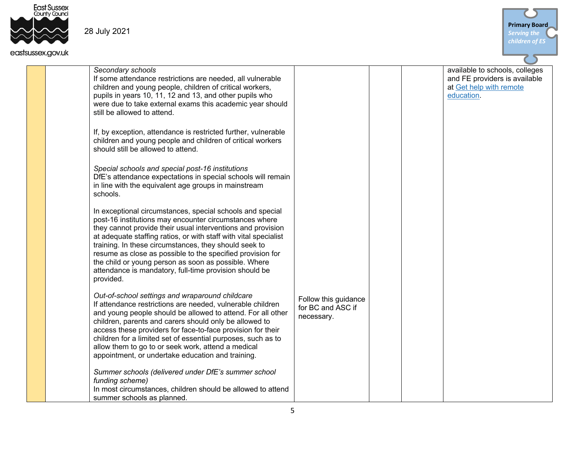

#### eastsussex.gov.uk



*Secondary schools* If some attendance restrictions are needed, all vulnerable children and young people, children of critical workers, pupils in years 10, 11, 12 and 13, and other pupils who were due to take external exams this academic year should still be allowed to attend.

If, by exception, attendance is restricted further, vulnerable children and young people and children of critical workers should still be allowed to attend.

*Special schools and special post-16 institutions* DfE's attendance expectations in special schools will remain in line with the equivalent age groups in mainstream schools.

In exceptional circumstances, special schools and special post-16 institutions may encounter circumstances where they cannot provide their usual interventions and provision at adequate staffing ratios, or with staff with vital specialist training. In these circumstances, they should seek to resume as close as possible to the specified provision for the child or young person as soon as possible. Where attendance is mandatory, full-time provision should be provided.

*Out-of-school settings and wraparound childcare* If attendance restrictions are needed, vulnerable children and young people should be allowed to attend. For all other children, parents and carers should only be allowed to access these providers for face-to-face provision for their children for a limited set of essential purposes, such as to allow them to go to or seek work, attend a medical appointment, or undertake education and training.

*Summer schools (delivered under DfE's summer school funding scheme)* In most circumstances, children should be allowed to attend summer schools as planned.

available to schools, colleges and FE providers is available at Get help with remote education.

Follow this guidance for BC and ASC if necessary.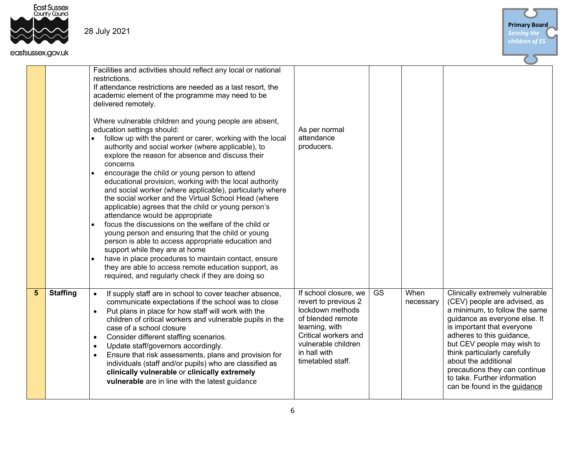



| JSISUSSEX.GOV.UK              |                                                                                                                                                                                                                                                                                                                                                                                                                                                                                                                                                                                                                                                                                                                                                                                                                                                                                                                                                                                                                                                                                                                                                                                                            |                                                                                                                                                                                              |    |                   |                                                                                                                                                                                                                                                                                                                                                                                     |
|-------------------------------|------------------------------------------------------------------------------------------------------------------------------------------------------------------------------------------------------------------------------------------------------------------------------------------------------------------------------------------------------------------------------------------------------------------------------------------------------------------------------------------------------------------------------------------------------------------------------------------------------------------------------------------------------------------------------------------------------------------------------------------------------------------------------------------------------------------------------------------------------------------------------------------------------------------------------------------------------------------------------------------------------------------------------------------------------------------------------------------------------------------------------------------------------------------------------------------------------------|----------------------------------------------------------------------------------------------------------------------------------------------------------------------------------------------|----|-------------------|-------------------------------------------------------------------------------------------------------------------------------------------------------------------------------------------------------------------------------------------------------------------------------------------------------------------------------------------------------------------------------------|
|                               | Facilities and activities should reflect any local or national<br>restrictions.<br>If attendance restrictions are needed as a last resort, the<br>academic element of the programme may need to be<br>delivered remotely.<br>Where vulnerable children and young people are absent,<br>education settings should:<br>follow up with the parent or carer, working with the local<br>authority and social worker (where applicable), to<br>explore the reason for absence and discuss their<br>concerns<br>encourage the child or young person to attend<br>educational provision, working with the local authority<br>and social worker (where applicable), particularly where<br>the social worker and the Virtual School Head (where<br>applicable) agrees that the child or young person's<br>attendance would be appropriate<br>focus the discussions on the welfare of the child or<br>young person and ensuring that the child or young<br>person is able to access appropriate education and<br>support while they are at home<br>have in place procedures to maintain contact, ensure<br>they are able to access remote education support, as<br>required, and regularly check if they are doing so | As per normal<br>attendance<br>producers.                                                                                                                                                    |    |                   |                                                                                                                                                                                                                                                                                                                                                                                     |
| <b>Staffing</b><br>$\sqrt{5}$ | If supply staff are in school to cover teacher absence,<br>$\bullet$<br>communicate expectations if the school was to close<br>Put plans in place for how staff will work with the<br>$\bullet$<br>children of critical workers and vulnerable pupils in the<br>case of a school closure<br>Consider different staffing scenarios.<br>$\bullet$<br>Update staff/governors accordingly.<br>$\bullet$<br>Ensure that risk assessments, plans and provision for<br>$\bullet$<br>individuals (staff and/or pupils) who are classified as<br>clinically vulnerable or clinically extremely<br>vulnerable are in line with the latest guidance                                                                                                                                                                                                                                                                                                                                                                                                                                                                                                                                                                   | If school closure, we<br>revert to previous 2<br>lockdown methods<br>of blended remote<br>learning, with<br>Critical workers and<br>vulnerable children<br>in hall with<br>timetabled staff. | GS | When<br>necessary | Clinically extremely vulnerable<br>(CEV) people are advised, as<br>a minimum, to follow the same<br>guidance as everyone else. It<br>is important that everyone<br>adheres to this guidance,<br>but CEV people may wish to<br>think particularly carefully<br>about the additional<br>precautions they can continue<br>to take. Further information<br>can be found in the guidance |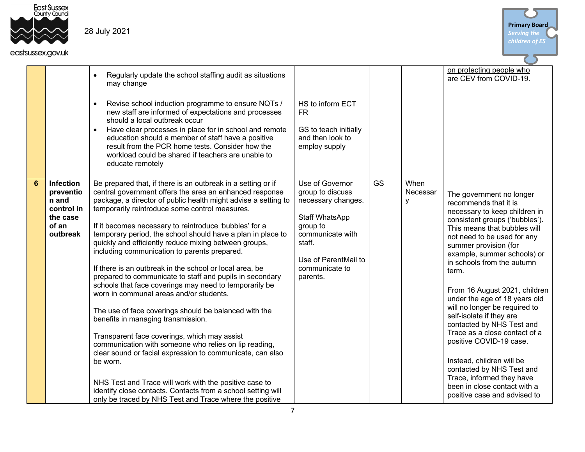



|   | isussex.gov.uk                                                                 |                                                                                                                                                                                                                                                                                                                                                                                                                                                                                                                                                                                                                                                                                                                                                                                                                                                                                                                                                                                                                                                                                                                                                                                 |                                                                                                                                                                             |           |                       |                                                                                                                                                                                                                                                                                                                                                                                                                                                                                                                                                                                                                                                                   |
|---|--------------------------------------------------------------------------------|---------------------------------------------------------------------------------------------------------------------------------------------------------------------------------------------------------------------------------------------------------------------------------------------------------------------------------------------------------------------------------------------------------------------------------------------------------------------------------------------------------------------------------------------------------------------------------------------------------------------------------------------------------------------------------------------------------------------------------------------------------------------------------------------------------------------------------------------------------------------------------------------------------------------------------------------------------------------------------------------------------------------------------------------------------------------------------------------------------------------------------------------------------------------------------|-----------------------------------------------------------------------------------------------------------------------------------------------------------------------------|-----------|-----------------------|-------------------------------------------------------------------------------------------------------------------------------------------------------------------------------------------------------------------------------------------------------------------------------------------------------------------------------------------------------------------------------------------------------------------------------------------------------------------------------------------------------------------------------------------------------------------------------------------------------------------------------------------------------------------|
|   |                                                                                | Regularly update the school staffing audit as situations<br>$\bullet$<br>may change<br>Revise school induction programme to ensure NQTs /<br>$\bullet$<br>new staff are informed of expectations and processes<br>should a local outbreak occur<br>Have clear processes in place for in school and remote<br>$\bullet$<br>education should a member of staff have a positive<br>result from the PCR home tests. Consider how the<br>workload could be shared if teachers are unable to<br>educate remotely                                                                                                                                                                                                                                                                                                                                                                                                                                                                                                                                                                                                                                                                      | HS to inform ECT<br><b>FR</b><br>GS to teach initially<br>and then look to<br>employ supply                                                                                 |           |                       | on protecting people who<br>are CEV from COVID-19.                                                                                                                                                                                                                                                                                                                                                                                                                                                                                                                                                                                                                |
| 6 | Infection<br>preventio<br>n and<br>control in<br>the case<br>of an<br>outbreak | Be prepared that, if there is an outbreak in a setting or if<br>central government offers the area an enhanced response<br>package, a director of public health might advise a setting to<br>temporarily reintroduce some control measures.<br>If it becomes necessary to reintroduce 'bubbles' for a<br>temporary period, the school should have a plan in place to<br>quickly and efficiently reduce mixing between groups,<br>including communication to parents prepared.<br>If there is an outbreak in the school or local area, be<br>prepared to communicate to staff and pupils in secondary<br>schools that face coverings may need to temporarily be<br>worn in communal areas and/or students.<br>The use of face coverings should be balanced with the<br>benefits in managing transmission.<br>Transparent face coverings, which may assist<br>communication with someone who relies on lip reading,<br>clear sound or facial expression to communicate, can also<br>be worn.<br>NHS Test and Trace will work with the positive case to<br>identify close contacts. Contacts from a school setting will<br>only be traced by NHS Test and Trace where the positive | Use of Governor<br>group to discuss<br>necessary changes.<br>Staff WhatsApp<br>group to<br>communicate with<br>staff.<br>Use of ParentMail to<br>communicate to<br>parents. | <b>GS</b> | When<br>Necessar<br>У | The government no longer<br>recommends that it is<br>necessary to keep children in<br>consistent groups ('bubbles').<br>This means that bubbles will<br>not need to be used for any<br>summer provision (for<br>example, summer schools) or<br>in schools from the autumn<br>term.<br>From 16 August 2021, children<br>under the age of 18 years old<br>will no longer be required to<br>self-isolate if they are<br>contacted by NHS Test and<br>Trace as a close contact of a<br>positive COVID-19 case.<br>Instead, children will be<br>contacted by NHS Test and<br>Trace, informed they have<br>been in close contact with a<br>positive case and advised to |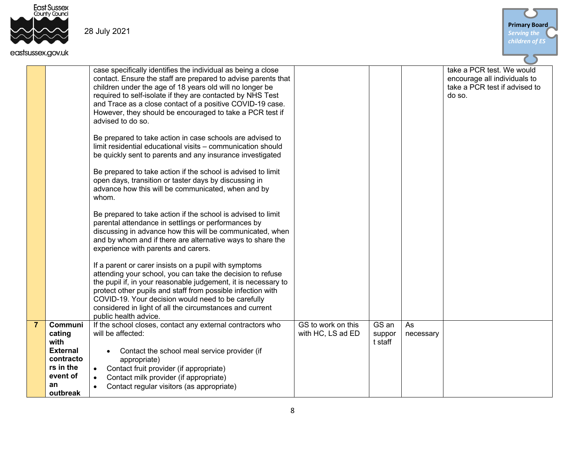



|                |                                                                                          | case specifically identifies the individual as being a close<br>contact. Ensure the staff are prepared to advise parents that<br>children under the age of 18 years old will no longer be<br>required to self-isolate if they are contacted by NHS Test<br>and Trace as a close contact of a positive COVID-19 case.<br>However, they should be encouraged to take a PCR test if<br>advised to do so. |                                         |                            |                 | take a PCR test. We would<br>encourage all individuals to<br>take a PCR test if advised to<br>do so. |
|----------------|------------------------------------------------------------------------------------------|-------------------------------------------------------------------------------------------------------------------------------------------------------------------------------------------------------------------------------------------------------------------------------------------------------------------------------------------------------------------------------------------------------|-----------------------------------------|----------------------------|-----------------|------------------------------------------------------------------------------------------------------|
|                |                                                                                          | Be prepared to take action in case schools are advised to<br>limit residential educational visits - communication should<br>be quickly sent to parents and any insurance investigated                                                                                                                                                                                                                 |                                         |                            |                 |                                                                                                      |
|                |                                                                                          | Be prepared to take action if the school is advised to limit<br>open days, transition or taster days by discussing in<br>advance how this will be communicated, when and by<br>whom.                                                                                                                                                                                                                  |                                         |                            |                 |                                                                                                      |
|                |                                                                                          | Be prepared to take action if the school is advised to limit<br>parental attendance in settlings or performances by<br>discussing in advance how this will be communicated, when<br>and by whom and if there are alternative ways to share the<br>experience with parents and carers.                                                                                                                 |                                         |                            |                 |                                                                                                      |
|                |                                                                                          | If a parent or carer insists on a pupil with symptoms<br>attending your school, you can take the decision to refuse<br>the pupil if, in your reasonable judgement, it is necessary to<br>protect other pupils and staff from possible infection with<br>COVID-19. Your decision would need to be carefully<br>considered in light of all the circumstances and current<br>public health advice.       |                                         |                            |                 |                                                                                                      |
| $\overline{7}$ | Communi<br>cating<br>with<br><b>External</b><br>contracto<br>rs in the<br>event of<br>an | If the school closes, contact any external contractors who<br>will be affected:<br>Contact the school meal service provider (if<br>$\bullet$<br>appropriate)<br>Contact fruit provider (if appropriate)<br>Contact milk provider (if appropriate)<br>$\bullet$<br>Contact regular visitors (as appropriate)<br>$\bullet$                                                                              | GS to work on this<br>with HC, LS ad ED | GS an<br>suppor<br>t staff | As<br>necessary |                                                                                                      |
|                | outbreak                                                                                 |                                                                                                                                                                                                                                                                                                                                                                                                       |                                         |                            |                 |                                                                                                      |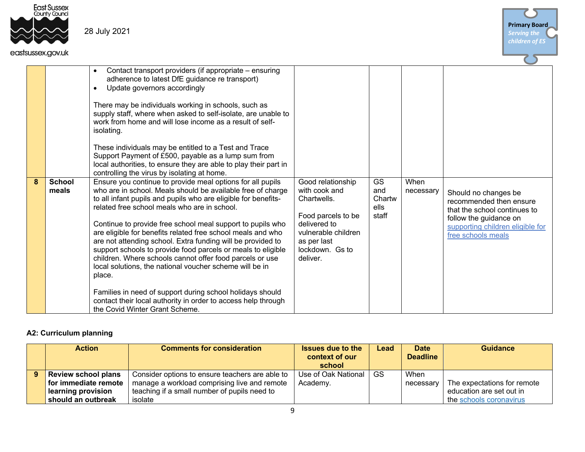

#### eastsussex.gov.uk



|   | SUSSEX.UOV.UK          |                                                                                                                                                                                                                                                                                                                                                                                                                                                                                                                                                                                                                                          |                                                                                                                                                              |                                      |                   |                                                                                                                                                                     |
|---|------------------------|------------------------------------------------------------------------------------------------------------------------------------------------------------------------------------------------------------------------------------------------------------------------------------------------------------------------------------------------------------------------------------------------------------------------------------------------------------------------------------------------------------------------------------------------------------------------------------------------------------------------------------------|--------------------------------------------------------------------------------------------------------------------------------------------------------------|--------------------------------------|-------------------|---------------------------------------------------------------------------------------------------------------------------------------------------------------------|
|   |                        | Contact transport providers (if appropriate – ensuring<br>adherence to latest DfE guidance re transport)<br>Update governors accordingly<br>There may be individuals working in schools, such as<br>supply staff, where when asked to self-isolate, are unable to<br>work from home and will lose income as a result of self-<br>isolating.<br>These individuals may be entitled to a Test and Trace<br>Support Payment of £500, payable as a lump sum from<br>local authorities, to ensure they are able to play their part in                                                                                                          |                                                                                                                                                              |                                      |                   |                                                                                                                                                                     |
|   |                        | controlling the virus by isolating at home.                                                                                                                                                                                                                                                                                                                                                                                                                                                                                                                                                                                              |                                                                                                                                                              |                                      |                   |                                                                                                                                                                     |
| 8 | <b>School</b><br>meals | Ensure you continue to provide meal options for all pupils<br>who are in school. Meals should be available free of charge<br>to all infant pupils and pupils who are eligible for benefits-<br>related free school meals who are in school.<br>Continue to provide free school meal support to pupils who<br>are eligible for benefits related free school meals and who<br>are not attending school. Extra funding will be provided to<br>support schools to provide food parcels or meals to eligible<br>children. Where schools cannot offer food parcels or use<br>local solutions, the national voucher scheme will be in<br>place. | Good relationship<br>with cook and<br>Chartwells.<br>Food parcels to be<br>delivered to<br>vulnerable children<br>as per last<br>lockdown. Gs to<br>deliver. | GS<br>and<br>Chartw<br>ells<br>staff | When<br>necessary | Should no changes be<br>recommended then ensure<br>that the school continues to<br>follow the guidance on<br>supporting children eligible for<br>free schools meals |
|   |                        | Families in need of support during school holidays should<br>contact their local authority in order to access help through<br>the Covid Winter Grant Scheme.                                                                                                                                                                                                                                                                                                                                                                                                                                                                             |                                                                                                                                                              |                                      |                   |                                                                                                                                                                     |

### **A2: Curriculum planning**

| <b>Action</b>              | <b>Comments for consideration</b>               | <b>Issues due to the</b><br>context of our<br>school | Lead | <b>Date</b><br><b>Deadline</b> | <b>Guidance</b>             |
|----------------------------|-------------------------------------------------|------------------------------------------------------|------|--------------------------------|-----------------------------|
| <b>Review school plans</b> | Consider options to ensure teachers are able to | Use of Oak National                                  | GS.  | When                           |                             |
| for immediate remote       | manage a workload comprising live and remote    | Academy.                                             |      | necessary                      | The expectations for remote |
| learning provision         | teaching if a small number of pupils need to    |                                                      |      |                                | education are set out in    |
| should an outbreak         | isolate                                         |                                                      |      |                                | the schools coronavirus     |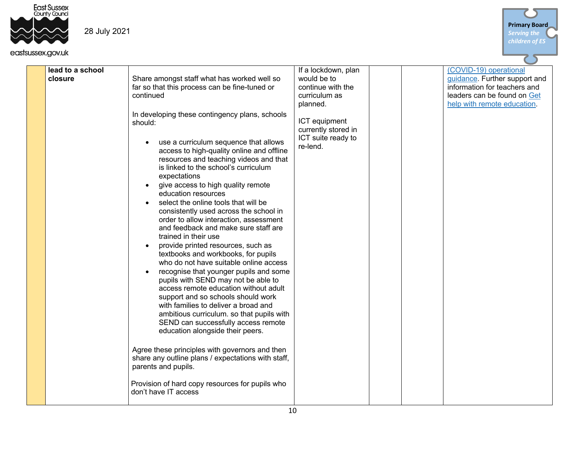



| lead to a school<br>closure | Share amongst staff what has worked well so<br>far so that this process can be fine-tuned or<br>continued<br>In developing these contingency plans, schools<br>should:<br>use a curriculum sequence that allows<br>$\bullet$<br>access to high-quality online and offline<br>resources and teaching videos and that<br>is linked to the school's curriculum<br>expectations<br>give access to high quality remote<br>$\bullet$<br>education resources<br>select the online tools that will be<br>consistently used across the school in<br>order to allow interaction, assessment<br>and feedback and make sure staff are<br>trained in their use<br>provide printed resources, such as<br>$\bullet$<br>textbooks and workbooks, for pupils<br>who do not have suitable online access<br>recognise that younger pupils and some<br>pupils with SEND may not be able to<br>access remote education without adult<br>support and so schools should work<br>with families to deliver a broad and<br>ambitious curriculum. so that pupils with<br>SEND can successfully access remote<br>education alongside their peers.<br>Agree these principles with governors and then<br>share any outline plans / expectations with staff,<br>parents and pupils. | If a lockdown, plan<br>would be to<br>continue with the<br>curriculum as<br>planned.<br>ICT equipment<br>currently stored in<br>ICT suite ready to<br>re-lend. | (COVID-19) operational<br>guidance. Further support and<br>information for teachers and<br>leaders can be found on Get<br>help with remote education. |
|-----------------------------|------------------------------------------------------------------------------------------------------------------------------------------------------------------------------------------------------------------------------------------------------------------------------------------------------------------------------------------------------------------------------------------------------------------------------------------------------------------------------------------------------------------------------------------------------------------------------------------------------------------------------------------------------------------------------------------------------------------------------------------------------------------------------------------------------------------------------------------------------------------------------------------------------------------------------------------------------------------------------------------------------------------------------------------------------------------------------------------------------------------------------------------------------------------------------------------------------------------------------------------------------|----------------------------------------------------------------------------------------------------------------------------------------------------------------|-------------------------------------------------------------------------------------------------------------------------------------------------------|
|                             | Provision of hard copy resources for pupils who<br>don't have IT access                                                                                                                                                                                                                                                                                                                                                                                                                                                                                                                                                                                                                                                                                                                                                                                                                                                                                                                                                                                                                                                                                                                                                                              |                                                                                                                                                                |                                                                                                                                                       |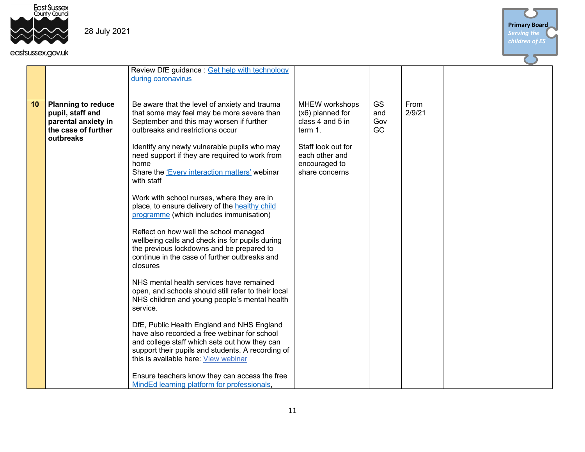



|    |                                                                                                          | Review DfE guidance: Get help with technology<br>during coronavirus                                                                                                                                                                                                                                                                                                                                                                                                                                                                                                                                                                                                                                                                                                                                                                                                                                                                                                                                                                                                                                                                                                 |                                                                                                                                              |                        |                |  |
|----|----------------------------------------------------------------------------------------------------------|---------------------------------------------------------------------------------------------------------------------------------------------------------------------------------------------------------------------------------------------------------------------------------------------------------------------------------------------------------------------------------------------------------------------------------------------------------------------------------------------------------------------------------------------------------------------------------------------------------------------------------------------------------------------------------------------------------------------------------------------------------------------------------------------------------------------------------------------------------------------------------------------------------------------------------------------------------------------------------------------------------------------------------------------------------------------------------------------------------------------------------------------------------------------|----------------------------------------------------------------------------------------------------------------------------------------------|------------------------|----------------|--|
|    |                                                                                                          |                                                                                                                                                                                                                                                                                                                                                                                                                                                                                                                                                                                                                                                                                                                                                                                                                                                                                                                                                                                                                                                                                                                                                                     |                                                                                                                                              |                        |                |  |
| 10 | <b>Planning to reduce</b><br>pupil, staff and<br>parental anxiety in<br>the case of further<br>outbreaks | Be aware that the level of anxiety and trauma<br>that some may feel may be more severe than<br>September and this may worsen if further<br>outbreaks and restrictions occur<br>Identify any newly vulnerable pupils who may<br>need support if they are required to work from<br>home<br>Share the 'Every interaction matters' webinar<br>with staff<br>Work with school nurses, where they are in<br>place, to ensure delivery of the healthy child<br>programme (which includes immunisation)<br>Reflect on how well the school managed<br>wellbeing calls and check ins for pupils during<br>the previous lockdowns and be prepared to<br>continue in the case of further outbreaks and<br>closures<br>NHS mental health services have remained<br>open, and schools should still refer to their local<br>NHS children and young people's mental health<br>service.<br>DfE, Public Health England and NHS England<br>have also recorded a free webinar for school<br>and college staff which sets out how they can<br>support their pupils and students. A recording of<br>this is available here: View webinar<br>Ensure teachers know they can access the free | MHEW workshops<br>(x6) planned for<br>class 4 and 5 in<br>term 1.<br>Staff look out for<br>each other and<br>encouraged to<br>share concerns | GS<br>and<br>Gov<br>GC | From<br>2/9/21 |  |
|    |                                                                                                          | MindEd learning platform for professionals,                                                                                                                                                                                                                                                                                                                                                                                                                                                                                                                                                                                                                                                                                                                                                                                                                                                                                                                                                                                                                                                                                                                         |                                                                                                                                              |                        |                |  |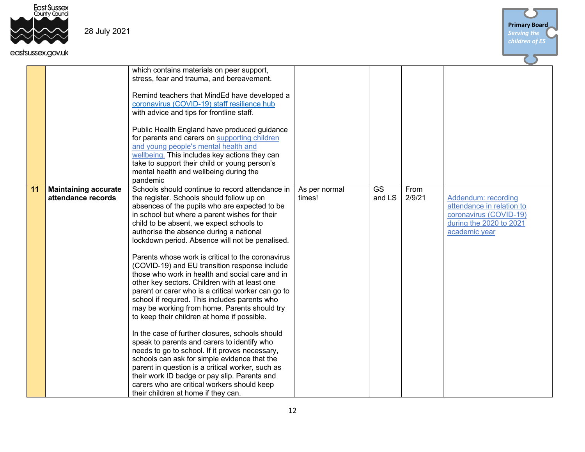



|    | isussex.gov.uk                                    |                                                                                                                                                                                                                                                                                                                                                                                                                                                                                                                                                                                                                                                                                                                                                                                                                                                                                                                                                                                                                                                                                                                                                        |                         |              |                |                                                                                                                        |
|----|---------------------------------------------------|--------------------------------------------------------------------------------------------------------------------------------------------------------------------------------------------------------------------------------------------------------------------------------------------------------------------------------------------------------------------------------------------------------------------------------------------------------------------------------------------------------------------------------------------------------------------------------------------------------------------------------------------------------------------------------------------------------------------------------------------------------------------------------------------------------------------------------------------------------------------------------------------------------------------------------------------------------------------------------------------------------------------------------------------------------------------------------------------------------------------------------------------------------|-------------------------|--------------|----------------|------------------------------------------------------------------------------------------------------------------------|
|    |                                                   | which contains materials on peer support,<br>stress, fear and trauma, and bereavement.                                                                                                                                                                                                                                                                                                                                                                                                                                                                                                                                                                                                                                                                                                                                                                                                                                                                                                                                                                                                                                                                 |                         |              |                |                                                                                                                        |
|    |                                                   | Remind teachers that MindEd have developed a<br>coronavirus (COVID-19) staff resilience hub<br>with advice and tips for frontline staff.                                                                                                                                                                                                                                                                                                                                                                                                                                                                                                                                                                                                                                                                                                                                                                                                                                                                                                                                                                                                               |                         |              |                |                                                                                                                        |
|    |                                                   | Public Health England have produced guidance<br>for parents and carers on supporting children<br>and young people's mental health and<br>wellbeing. This includes key actions they can<br>take to support their child or young person's<br>mental health and wellbeing during the<br>pandemic                                                                                                                                                                                                                                                                                                                                                                                                                                                                                                                                                                                                                                                                                                                                                                                                                                                          |                         |              |                |                                                                                                                        |
| 11 | <b>Maintaining accurate</b><br>attendance records | Schools should continue to record attendance in<br>the register. Schools should follow up on<br>absences of the pupils who are expected to be<br>in school but where a parent wishes for their<br>child to be absent, we expect schools to<br>authorise the absence during a national<br>lockdown period. Absence will not be penalised.<br>Parents whose work is critical to the coronavirus<br>(COVID-19) and EU transition response include<br>those who work in health and social care and in<br>other key sectors. Children with at least one<br>parent or carer who is a critical worker can go to<br>school if required. This includes parents who<br>may be working from home. Parents should try<br>to keep their children at home if possible.<br>In the case of further closures, schools should<br>speak to parents and carers to identify who<br>needs to go to school. If it proves necessary,<br>schools can ask for simple evidence that the<br>parent in question is a critical worker, such as<br>their work ID badge or pay slip. Parents and<br>carers who are critical workers should keep<br>their children at home if they can. | As per normal<br>times! | GS<br>and LS | From<br>2/9/21 | Addendum: recording<br>attendance in relation to<br>coronavirus (COVID-19)<br>during the 2020 to 2021<br>academic year |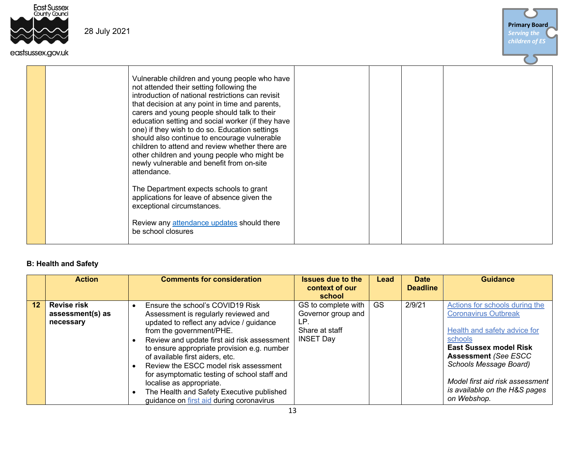

#### eastsussex.gov.uk

| <b>Primary Board</b><br><b>Serving the</b> |
|--------------------------------------------|
| children of ES                             |
|                                            |

| Vulnerable children and young people who have<br>not attended their setting following the<br>introduction of national restrictions can revisit<br>that decision at any point in time and parents,<br>carers and young people should talk to their<br>education setting and social worker (if they have<br>one) if they wish to do so. Education settings<br>should also continue to encourage vulnerable<br>children to attend and review whether there are<br>other children and young people who might be<br>newly vulnerable and benefit from on-site<br>attendance.<br>The Department expects schools to grant<br>applications for leave of absence given the<br>exceptional circumstances.<br>Review any attendance updates should there<br>be school closures |  |
|---------------------------------------------------------------------------------------------------------------------------------------------------------------------------------------------------------------------------------------------------------------------------------------------------------------------------------------------------------------------------------------------------------------------------------------------------------------------------------------------------------------------------------------------------------------------------------------------------------------------------------------------------------------------------------------------------------------------------------------------------------------------|--|
|---------------------------------------------------------------------------------------------------------------------------------------------------------------------------------------------------------------------------------------------------------------------------------------------------------------------------------------------------------------------------------------------------------------------------------------------------------------------------------------------------------------------------------------------------------------------------------------------------------------------------------------------------------------------------------------------------------------------------------------------------------------------|--|

#### **B: Health and Safety**

|    | <b>Action</b>                                       | <b>Comments for consideration</b>                                                                                                                                                                                                                                                                                                                                                                      | <b>Issues due to the</b><br>context of our<br>school                                   | Lead      | <b>Date</b><br><b>Deadline</b> | <b>Guidance</b>                                                                                                                                                                                                                       |
|----|-----------------------------------------------------|--------------------------------------------------------------------------------------------------------------------------------------------------------------------------------------------------------------------------------------------------------------------------------------------------------------------------------------------------------------------------------------------------------|----------------------------------------------------------------------------------------|-----------|--------------------------------|---------------------------------------------------------------------------------------------------------------------------------------------------------------------------------------------------------------------------------------|
| 12 | <b>Revise risk</b><br>assessment(s) as<br>necessary | Ensure the school's COVID19 Risk<br>Assessment is regularly reviewed and<br>updated to reflect any advice / guidance<br>from the government/PHE.<br>Review and update first aid risk assessment<br>to ensure appropriate provision e.g. number<br>of available first aiders, etc.<br>Review the ESCC model risk assessment<br>for asymptomatic testing of school staff and<br>localise as appropriate. | GS to complete with<br>Governor group and<br>LP.<br>Share at staff<br><b>INSET Day</b> | <b>GS</b> | 2/9/21                         | Actions for schools during the<br><b>Coronavirus Outbreak</b><br>Health and safety advice for<br>schools<br><b>East Sussex model Risk</b><br><b>Assessment (See ESCC</b><br>Schools Message Board)<br>Model first aid risk assessment |
|    |                                                     | The Health and Safety Executive published<br>guidance on first aid during coronavirus                                                                                                                                                                                                                                                                                                                  |                                                                                        |           |                                | is available on the H&S pages<br>on Webshop.                                                                                                                                                                                          |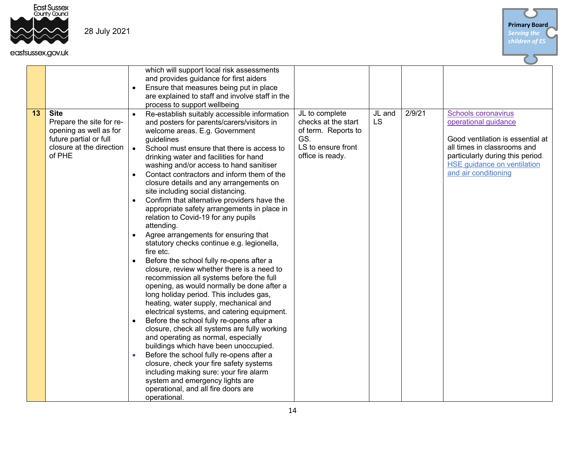

|    |                                                                                                                                   |           | which will support local risk assessments<br>and provides guidance for first aiders<br>Ensure that measures being put in place<br>are explained to staff and involve staff in the<br>process to support wellbeing                                                                                                                                                                                                                                                                                                                                                                                                                                                                                                                                                                                                                                                                                                                                                                                                                                                                                                                                                                                                                                                                                                                                                                               |                                                                                                               |                     |        |                                                                                                                                                                                                                  |
|----|-----------------------------------------------------------------------------------------------------------------------------------|-----------|-------------------------------------------------------------------------------------------------------------------------------------------------------------------------------------------------------------------------------------------------------------------------------------------------------------------------------------------------------------------------------------------------------------------------------------------------------------------------------------------------------------------------------------------------------------------------------------------------------------------------------------------------------------------------------------------------------------------------------------------------------------------------------------------------------------------------------------------------------------------------------------------------------------------------------------------------------------------------------------------------------------------------------------------------------------------------------------------------------------------------------------------------------------------------------------------------------------------------------------------------------------------------------------------------------------------------------------------------------------------------------------------------|---------------------------------------------------------------------------------------------------------------|---------------------|--------|------------------------------------------------------------------------------------------------------------------------------------------------------------------------------------------------------------------|
| 13 | <b>Site</b><br>Prepare the site for re-<br>opening as well as for<br>future partial or full<br>closure at the direction<br>of PHE | $\bullet$ | Re-establish suitably accessible information<br>and posters for parents/carers/visitors in<br>welcome areas. E.g. Government<br>guidelines<br>School must ensure that there is access to<br>drinking water and facilities for hand<br>washing and/or access to hand sanitiser<br>Contact contractors and inform them of the<br>closure details and any arrangements on<br>site including social distancing.<br>Confirm that alternative providers have the<br>appropriate safety arrangements in place in<br>relation to Covid-19 for any pupils<br>attending.<br>Agree arrangements for ensuring that<br>statutory checks continue e.g. legionella,<br>fire etc.<br>Before the school fully re-opens after a<br>closure, review whether there is a need to<br>recommission all systems before the full<br>opening, as would normally be done after a<br>long holiday period. This includes gas,<br>heating, water supply, mechanical and<br>electrical systems, and catering equipment.<br>Before the school fully re-opens after a<br>closure, check all systems are fully working<br>and operating as normal, especially<br>buildings which have been unoccupied.<br>Before the school fully re-opens after a<br>closure, check your fire safety systems<br>including making sure: your fire alarm<br>system and emergency lights are<br>operational, and all fire doors are<br>operational. | JL to complete<br>checks at the start<br>of term. Reports to<br>GS.<br>LS to ensure front<br>office is ready. | JL and<br><b>LS</b> | 2/9/21 | Schools coronavirus<br>operational guidance<br>Good ventilation is essential at<br>all times in classrooms and<br>particularly during this period.<br><b>HSE guidance on ventilation</b><br>and air conditioning |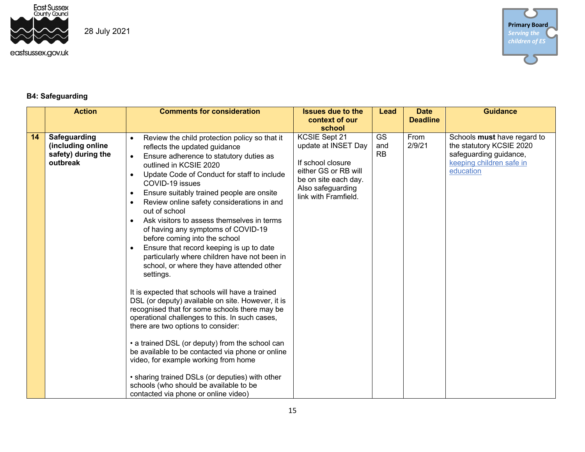

### **B4: Safeguarding**

|    | <b>Action</b>                                                       | <b>Comments for consideration</b>                                                                                                                                                                                                                                                                                                                                                                                                                                                                                                                                                                                                                                                                                                                                                                                                                                                                                                                                                                                                                                                                                                                                                                                                            | <b>Issues due to the</b>                                                                                                                                         | Lead                          | <b>Date</b>     | <b>Guidance</b>                                                                                                            |
|----|---------------------------------------------------------------------|----------------------------------------------------------------------------------------------------------------------------------------------------------------------------------------------------------------------------------------------------------------------------------------------------------------------------------------------------------------------------------------------------------------------------------------------------------------------------------------------------------------------------------------------------------------------------------------------------------------------------------------------------------------------------------------------------------------------------------------------------------------------------------------------------------------------------------------------------------------------------------------------------------------------------------------------------------------------------------------------------------------------------------------------------------------------------------------------------------------------------------------------------------------------------------------------------------------------------------------------|------------------------------------------------------------------------------------------------------------------------------------------------------------------|-------------------------------|-----------------|----------------------------------------------------------------------------------------------------------------------------|
|    |                                                                     |                                                                                                                                                                                                                                                                                                                                                                                                                                                                                                                                                                                                                                                                                                                                                                                                                                                                                                                                                                                                                                                                                                                                                                                                                                              | context of our                                                                                                                                                   |                               | <b>Deadline</b> |                                                                                                                            |
| 14 | Safeguarding<br>(including online<br>safety) during the<br>outbreak | Review the child protection policy so that it<br>$\bullet$<br>reflects the updated guidance<br>Ensure adherence to statutory duties as<br>$\bullet$<br>outlined in KCSIE 2020<br>Update Code of Conduct for staff to include<br>$\bullet$<br>COVID-19 issues<br>Ensure suitably trained people are onsite<br>$\bullet$<br>Review online safety considerations in and<br>$\bullet$<br>out of school<br>Ask visitors to assess themselves in terms<br>$\bullet$<br>of having any symptoms of COVID-19<br>before coming into the school<br>Ensure that record keeping is up to date<br>$\bullet$<br>particularly where children have not been in<br>school, or where they have attended other<br>settings.<br>It is expected that schools will have a trained<br>DSL (or deputy) available on site. However, it is<br>recognised that for some schools there may be<br>operational challenges to this. In such cases,<br>there are two options to consider:<br>• a trained DSL (or deputy) from the school can<br>be available to be contacted via phone or online<br>video, for example working from home<br>• sharing trained DSLs (or deputies) with other<br>schools (who should be available to be<br>contacted via phone or online video) | school<br>KCSIE Sept 21<br>update at INSET Day<br>If school closure<br>either GS or RB will<br>be on site each day.<br>Also safeguarding<br>link with Framfield. | <b>GS</b><br>and<br><b>RB</b> | From<br>2/9/21  | Schools must have regard to<br>the statutory KCSIE 2020<br>safeguarding guidance,<br>keeping children safe in<br>education |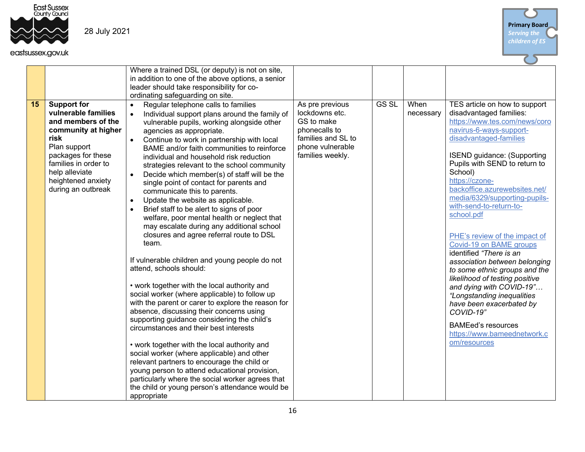



|    |                                                                                                                                                                                                                            | Where a trained DSL (or deputy) is not on site,<br>in addition to one of the above options, a senior<br>leader should take responsibility for co-<br>ordinating safeguarding on site.                                                                                                                                                                                                                                                                                                                                                                                                                                                                                                                                                                                                                                                                                                                                                                                                                                                                                                                                                                                                                                                                                                                                                                                                                                                                             |                                                                                                                                |              |                   |                                                                                                                                                                                                                                                                                                                                                                                                                                                                                                                                                                                                                                                                                                                                         |
|----|----------------------------------------------------------------------------------------------------------------------------------------------------------------------------------------------------------------------------|-------------------------------------------------------------------------------------------------------------------------------------------------------------------------------------------------------------------------------------------------------------------------------------------------------------------------------------------------------------------------------------------------------------------------------------------------------------------------------------------------------------------------------------------------------------------------------------------------------------------------------------------------------------------------------------------------------------------------------------------------------------------------------------------------------------------------------------------------------------------------------------------------------------------------------------------------------------------------------------------------------------------------------------------------------------------------------------------------------------------------------------------------------------------------------------------------------------------------------------------------------------------------------------------------------------------------------------------------------------------------------------------------------------------------------------------------------------------|--------------------------------------------------------------------------------------------------------------------------------|--------------|-------------------|-----------------------------------------------------------------------------------------------------------------------------------------------------------------------------------------------------------------------------------------------------------------------------------------------------------------------------------------------------------------------------------------------------------------------------------------------------------------------------------------------------------------------------------------------------------------------------------------------------------------------------------------------------------------------------------------------------------------------------------------|
| 15 | <b>Support for</b><br>vulnerable families<br>and members of the<br>community at higher<br>risk<br>Plan support<br>packages for these<br>families in order to<br>help alleviate<br>heightened anxiety<br>during an outbreak | Regular telephone calls to families<br>$\bullet$<br>Individual support plans around the family of<br>$\bullet$<br>vulnerable pupils, working alongside other<br>agencies as appropriate.<br>Continue to work in partnership with local<br>BAME and/or faith communities to reinforce<br>individual and household risk reduction<br>strategies relevant to the school community<br>Decide which member(s) of staff will be the<br>single point of contact for parents and<br>communicate this to parents.<br>Update the website as applicable.<br>$\bullet$<br>Brief staff to be alert to signs of poor<br>$\bullet$<br>welfare, poor mental health or neglect that<br>may escalate during any additional school<br>closures and agree referral route to DSL<br>team.<br>If vulnerable children and young people do not<br>attend, schools should:<br>• work together with the local authority and<br>social worker (where applicable) to follow up<br>with the parent or carer to explore the reason for<br>absence, discussing their concerns using<br>supporting guidance considering the child's<br>circumstances and their best interests<br>• work together with the local authority and<br>social worker (where applicable) and other<br>relevant partners to encourage the child or<br>young person to attend educational provision,<br>particularly where the social worker agrees that<br>the child or young person's attendance would be<br>appropriate | As pre previous<br>lockdowns etc.<br>GS to make<br>phonecalls to<br>families and SL to<br>phone vulnerable<br>families weekly. | <b>GS SL</b> | When<br>necessary | TES article on how to support<br>disadvantaged families:<br>https://www.tes.com/news/coro<br>navirus-6-ways-support-<br>disadvantaged-families<br><b>ISEND</b> guidance: (Supporting<br>Pupils with SEND to return to<br>School)<br>https://czone-<br>backoffice.azurewebsites.net/<br>media/6329/supporting-pupils-<br>with-send-to-return-to-<br>school.pdf<br>PHE's review of the impact of<br>Covid-19 on BAME groups<br>identified "There is an<br>association between belonging<br>to some ethnic groups and the<br>likelihood of testing positive<br>and dying with COVID-19"<br>"Longstanding inequalities<br>have been exacerbated by<br>COVID-19"<br><b>BAMEed's resources</b><br>https://www.bameednetwork.c<br>om/resources |